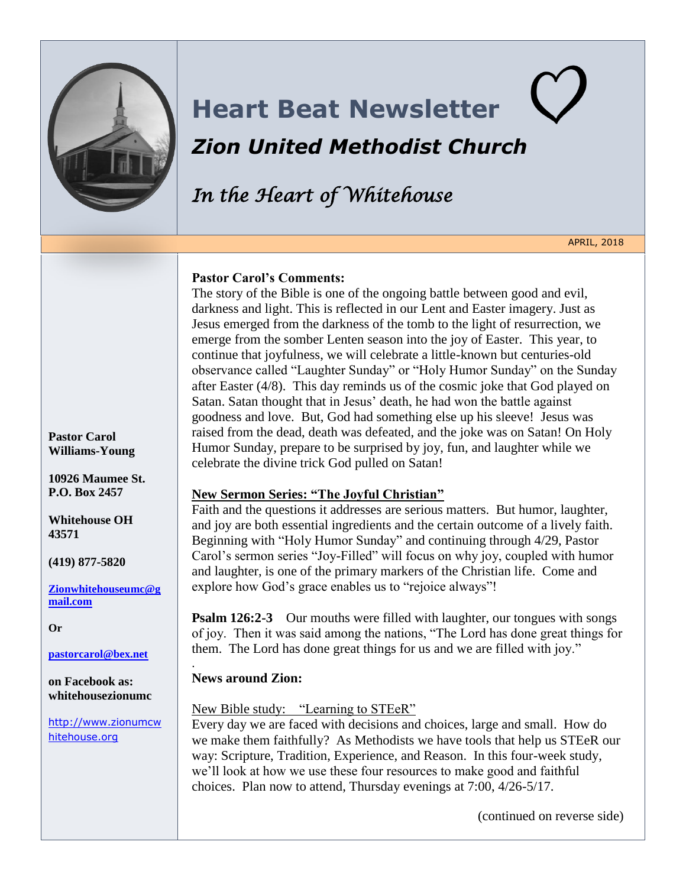

# **Heart Beat Newsletter** *Zion United Methodist Church*

*In the Heart of Whitehouse*

APRIL, 2018

#### **Pastor Carol's Comments:**

The story of the Bible is one of the ongoing battle between good and evil, darkness and light. This is reflected in our Lent and Easter imagery. Just as Jesus emerged from the darkness of the tomb to the light of resurrection, we emerge from the somber Lenten season into the joy of Easter. This year, to continue that joyfulness, we will celebrate a little-known but centuries-old observance called "Laughter Sunday" or "Holy Humor Sunday" on the Sunday after Easter (4/8). This day reminds us of the cosmic joke that God played on Satan. Satan thought that in Jesus' death, he had won the battle against goodness and love. But, God had something else up his sleeve! Jesus was raised from the dead, death was defeated, and the joke was on Satan! On Holy Humor Sunday, prepare to be surprised by joy, fun, and laughter while we celebrate the divine trick God pulled on Satan!

## **New Sermon Series: "The Joyful Christian"**

Faith and the questions it addresses are serious matters. But humor, laughter, and joy are both essential ingredients and the certain outcome of a lively faith. Beginning with "Holy Humor Sunday" and continuing through 4/29, Pastor Carol's sermon series "Joy-Filled" will focus on why joy, coupled with humor and laughter, is one of the primary markers of the Christian life. Come and explore how God's grace enables us to "rejoice always"!

**Psalm 126:2-3** Our mouths were filled with laughter, our tongues with songs of joy. Then it was said among the nations, "The Lord has done great things for them. The Lord has done great things for us and we are filled with joy."

## **News around Zion:**

.

#### New Bible study: "Learning to STEeR"

Every day we are faced with decisions and choices, large and small. How do we make them faithfully? As Methodists we have tools that help us STEeR our way: Scripture, Tradition, Experience, and Reason. In this four-week study, we'll look at how we use these four resources to make good and faithful choices. Plan now to attend, Thursday evenings at 7:00, 4/26-5/17.

(continued on reverse side)

**Pastor Carol Williams-Young** 

**10926 Maumee St. P.O. Box 2457**

**Whitehouse OH 43571**

**(419) 877-5820**

**[Zionwhitehouseumc@g](mailto:Zionwhitehouseumc@gmail.com) [mail.com](mailto:Zionwhitehouseumc@gmail.com)**

**Or** 

**[pastorcarol@bex.net](mailto:pastorcarol@bex.net)**

**on Facebook as: whitehousezionumc**

[http://www.zionumcw](http://www.zionumcwhitehouse.org/) [hitehouse.org](http://www.zionumcwhitehouse.org/)